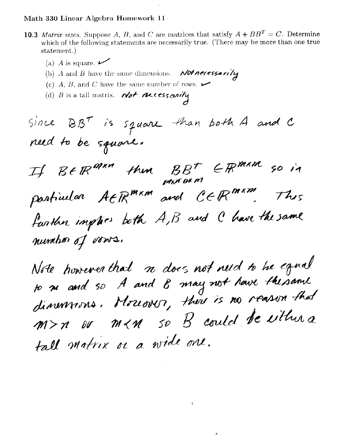- **10.3** Matrix sizes. Suppose A, B, and C are matrices that satisfy  $A + BB^T = C$ . Determine which of the following statements are necessarily true. (There may be more than one true statement.)
	- (a) A is square.  $\triangleright$
	- (b) A and B have the same dimensions.  $\mathcal{N}$ ot necessarily
	- (c) A, B, and C have the same number of rows.  $\triangleright$
	- (d)  $B$  is a tall matrix. Not necessarily

since  $BB^T$  is square than both A and C need to be square. If  $B\in\mathbb{R}^{m\times n}$  then  $BB^{\top} \in \mathbb{R}^{m\times m}$  so in particular AER<sup>mxm</sup> and CERMXM. further implies both A,B and C have the same number of vows.

Note however that no does not need to be equal<br>to ne and so A and B may not have the same dimerrions. Moreover, there is no reason that M>n du M<n so B could de vithur a tall matrix or a wide one.

 $\mathbf{r}$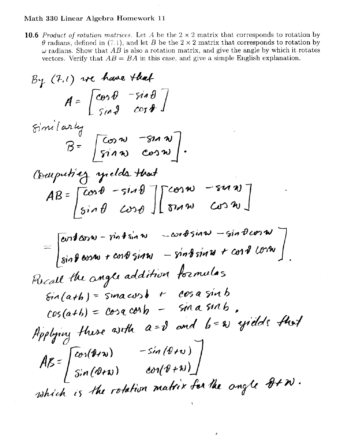**10.6** *Product of rotation matrices.* Let A be the  $2 \times 2$  matrix that corresponds to rotation by  $\theta$  radians, defined in (7.1), and let B be the 2 × 2 matrix that corresponds to rotation by  $\omega$  radians. Show that AB is also a rotation matrix, and give the angle by which it rotates vectors. Verify that  $AB = BA$  in this case, and give a simple English explanation.

$$
B_{\gamma}(7,t) \text{ are have that}
$$
\n
$$
A = \begin{bmatrix} \cos\theta & -\sin\theta \\ \sin\theta & \cos\theta \end{bmatrix}
$$
\n
$$
B = \begin{bmatrix} \cos\omega & -\sin\omega \\ \sin\omega & \cos\omega \end{bmatrix}
$$
\n
$$
B = \begin{bmatrix} \cos\omega & -\sin\omega \\ \sin\omega & \cos\omega \end{bmatrix}
$$
\n
$$
(Baupuh'ay-yields+bot)
$$
\n
$$
AB = \begin{bmatrix} \cos\theta & -\sin\theta \\ \sin\theta & \cos\theta \end{bmatrix} \begin{bmatrix} \cos\omega & -\sin\omega \\ \cos\omega & \cos\omega \end{bmatrix}
$$
\n
$$
= \begin{bmatrix} \cos A\cos\omega - \sin A\sin\omega & -\cos B\sin\omega - \sin B\cos\omega \\ \sin B\cos\omega + \cos B\sin\omega & -\sin B\sin\omega + \cos B\cos\omega \end{bmatrix}
$$
\n
$$
Bcaal Hucangla addition formulas
$$
\n
$$
6ia(ak) = \sin a\cos b + \cos a \sin b
$$
\n
$$
cos(ak) = \cos a \cos b - \sin a \sin b
$$
\n
$$
Baplyiny Huse aeth a = b \text{ and } b = w \text{ yields } Hod
$$
\n
$$
AB = \begin{bmatrix} \cos(\theta + w) & -\sin(\theta + w) \\ \sin(\theta + w) & \cot(\theta + w) \end{bmatrix}
$$
\n
$$
abich c, Hu roldion matrix do the angle  $\theta + w$ .
$$

 $\epsilon$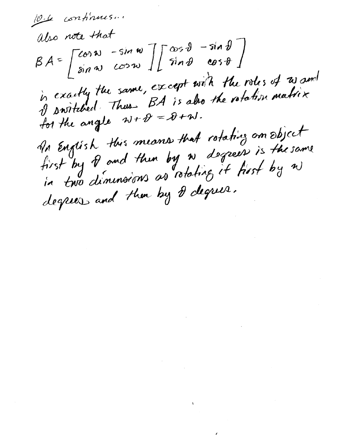10.6 continues... also note that  $BA = \begin{bmatrix} cos w & -sin w \\ sin w & cos w \end{bmatrix} \begin{bmatrix} cos \theta & -sin \theta \\ sin \theta & cos \theta \end{bmatrix}$ is exactly the same, except with the roles of wand<br>if switched Thus BA is also the retation matrix An English this means that rotating am object first by of and then by a degrees is the same degrees and then by I degrees.

 $\label{eq:2.1} \begin{split} \mathcal{L}_{\text{max}}(\mathbf{r}) & = \mathcal{L}_{\text{max}}(\mathbf{r}) \mathcal{L}_{\text{max}}(\mathbf{r}) \,, \end{split}$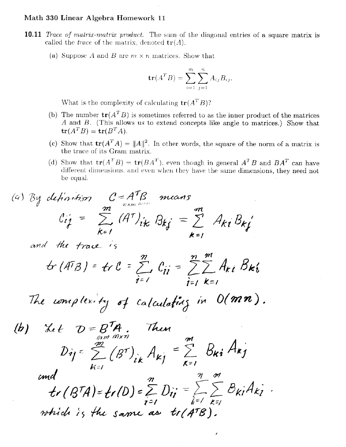- **10.11** Trace of matrix-matrix product. The sum of the diagonal entries of a square matrix is called the *trace* of the matrix, denoted  $tr(A)$ .
	- (a) Suppose A and B are  $m \times n$  matrices. Show that

$$
\text{tr}(A^T B) = \sum_{i=1}^m \sum_{j=1}^n A_{ij} B_{ij}.
$$

What is the complexity of calculating  $tr(A^T B)$ ?

- (b) The number  $tr(A^T B)$  is sometimes referred to as the inner product of the matrices A and B. (This allows us to extend concepts like angle to matrices.) Show that  $tr(A^T B) = tr(B^T A).$
- (c) Show that  $tr(A^T A) = ||A||^2$ . In other words, the square of the norm of a matrix is the trace of its Gram matrix.
- (d) Show that  $tr(A^T B) = tr(B A^T)$ , even though in general  $A^T B$  and  $B A^T$  can have different dimensions, and even when they have the same dimensions, they need not be equal.

(a) By definition 
$$
C = A^T B
$$
 means  
\n $C_{ij} = \sum_{k=1}^{m} (A^T)_{ik} B_{kj} = \sum_{k=1}^{m} A_{ki} B_{kj}$ 

and the trace is

$$
tr(A^{T}B) = tr C = \sum_{i=1}^{m} C_{ii} = \sum_{i=1}^{n} \sum_{k=1}^{m} A_{ki} B_{ki}
$$

The complexity of calculating in 
$$
O(mn)
$$
.

(b) 
$$
X_{i} \in D = B^{T}A
$$
. Then  
\n
$$
D_{ij} = \sum_{k=1}^{m} (B^{T})_{ik} A_{kj} = \sum_{k=1}^{m} B_{ki} A_{kj}
$$
\n
$$
end
$$
\n
$$
tr(B^{T}A) = tr(D) = \sum_{i=1}^{m} D_{ij} = \sum_{k=1}^{m} \sum_{k=1}^{m} B_{ki} A_{kj}
$$
\n
$$
which is the same as tr(A^{T}B).
$$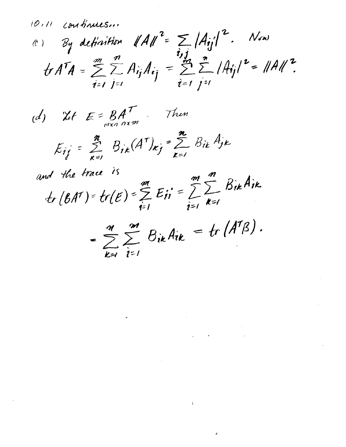10.11 continues... By definition  $||A||^2 = \sum_{i,j} |A_{ij}|^2$ . Now<br>to  $A^T A = \sum_{i=1}^{m} \sum_{j=1}^{n} A_{ij} A_{ij} = \sum_{i=1}^{m} \sum_{j=1}^{n} |A_{ij}|^2 = ||A||^2$ .  $\left(\begin{array}{c} \ell \end{array}\right)$ 

(d)  $\mathcal{U}t \in \mathcal{B}A^{\mathcal{T}}_{p_{xx}p_{x}m}$ . Then

$$
E_{ij} = \sum_{\kappa=1}^n B_{ik}(A^T)_{\kappa j} = \sum_{\kappa=1}^n B_{ik} A_{jk}
$$

and the trace is  $\pm (BA^{\gamma}) = tr(E) = \sum_{i=1}^{m} E_{ii} = \sum_{i=1}^{m} \sum_{k=1}^{n} B_{ik}A_{ik}$ 

$$
=\sum_{k=1}^{\infty}\sum_{i=1}^{\infty}B_{ik}A_{ik}=tr(A^{T}\beta).
$$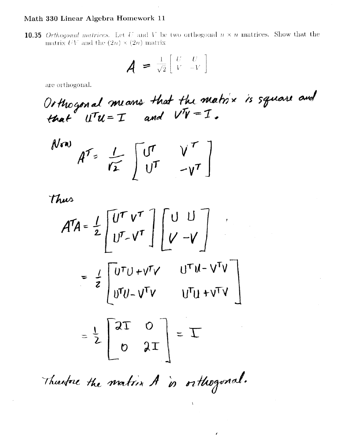**10.35** Orthogonal matrices. Let U and V be two orthogonal  $n \times n$  matrices. Show that the matrix  $UV$  and the  $(2n) \times (2n)$  matrix

$$
A = \frac{1}{\sqrt{2}} \begin{bmatrix} U & U \\ V & -V \end{bmatrix}
$$

are orthogonal.

Orthogonal means that the matrix is square and<br>that  $U^T u = I$  and  $V^T V = I$ .

$$
\mathbb{N}^{m} \mathbb{A}^{\mathcal{T}} = \frac{1}{r_{\mathcal{I}}} \begin{bmatrix} \mathbb{U}^{T} & \mathbb{V}^{T} \\ \mathbb{U}^{T} & -\mathbb{V}^{T} \end{bmatrix}
$$

Thus

$$
A^{T}A = \frac{1}{2} \begin{bmatrix} U^{T} V^{T} \\ U^{T} - V^{T} \end{bmatrix} \begin{bmatrix} U & U \\ V & -V \end{bmatrix}^{T}
$$

$$
= \frac{1}{2} \begin{bmatrix} U^{T}U + V^{T}V & U^{T}U - V^{T}V \\ U^{T}U - V^{T}V & U^{T}U + V^{T}V \end{bmatrix}
$$

$$
= \frac{1}{2} \begin{bmatrix} 2T & 0 \\ 0 & 2T \end{bmatrix} = T
$$

Thurstore the matrix A is orthogonal.

 $\mathbf V$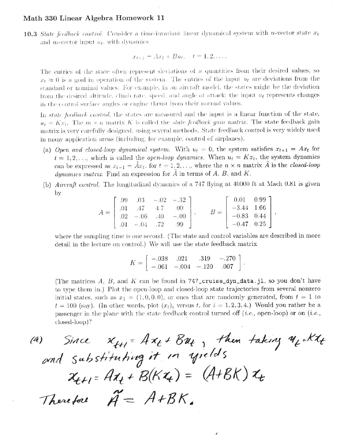10.3 State feedback control. Consider a time-invariant linear dynamical system with n-vector state  $x_t$ and *m*-vector input  $u_t$ , with dynamics

$$
x_{t+1} = Ax_t + Bu_t, \quad t = 1, 2, \dots
$$

The entries of the state often represent deviations of  $n$  quantities from their desired values, so  $x_t \approx 0$  is a goal in operation of the system. The entries of the input  $u_t$  are deviations from the standard or nominal values. For example, in an aircraft model, the states might be the deviation from the desired altitude, climb rate, speed, and angle of attack; the input  $u_t$  represents changes in the control surface angles or engine thrust from their normal values.

In *state feedback control*, the states are measured and the input is a linear function of the state,  $u_t = Kx_t$ . The  $m \times n$  matrix K is called the *state feedback gain matrix*. The state feedback gain matrix is very carefully designed, using several methods. State feedback control is very widely used in many application areas (including, for example, control of airplanes).

- (a) Open and closed-loop dynamical system. With  $u_t = 0$ , the system satisfies  $x_{t+1} = Ax_t$  for  $t = 1, 2, \ldots$ , which is called the *open-loop dynamics*. When  $u_t = Kx_t$ , the system dynamics can be expressed as  $x_{t+1} = Ax_t$ , for  $t = 1, 2, ...$ , where the  $n \times n$  matrix A is the closed-loop dynamics matrix. Find an expression for  $\tilde{A}$  in terms of  $A$ ,  $B$ , and  $K$ .
- (b) Aircraft control. The longitudinal dynamics of a 747 flying at 40000 ft at Mach 0.81 is given by

$$
A = \begin{bmatrix} .99 & .03 & -.02 & -.32 \\ .01 & .47 & 4.7 & .00 \\ .02 & -.06 & .40 & -.00 \\ .01 & -.04 & .72 & .99 \end{bmatrix}, \qquad B = \begin{bmatrix} 0.01 & 0.99 \\ -3.44 & 1.66 \\ -0.83 & 0.44 \\ -0.47 & 0.25 \end{bmatrix},
$$

where the sampling time is one second. (The state and control variables are described in more detail in the lecture on control.) We will use the state feedback matrix

$$
K = \begin{bmatrix} -.038 & .021 & .319 & -.270 \\ -.061 & -.004 & -.120 & .007 \end{bmatrix}.
$$

(The matrices A, B, and K can be found in  $747$  cruise  $\text{dyn\_data}.$  jl, so you don't have to type them in.) Plot the open-loop and closed-loop state trajectories from several nonzero initial states, such as  $x_1 = (1,0,0,0)$ , or ones that are randomly generated, from  $t = 1$  to  $t = 100$  (say). (In other words, plot  $(x_t)_i$  versus t, for  $i = 1, 2, 3, 4$ .) Would you rather be a passenger in the plane with the state feedback control turned off (*i.e.*, open-loop) or on (*i.e.*,  $closed-loop$ ?

(a) Since 
$$
x_{t+1} = Ax_t + Bu_t
$$
, then taking  $u_t = kx_t$   
and substituting it in yields  
 $x_{t+1} = At_t + B(kx_t) = (A+Bk) x_t$   
Therefore  $\tilde{A} = A+Bk$ .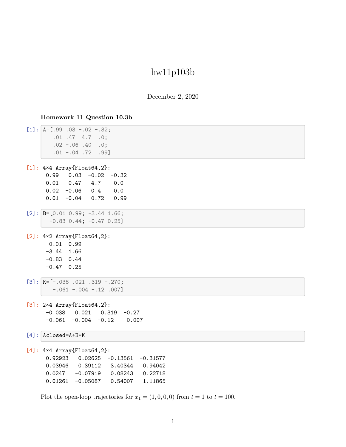# hw11p103b

December 2, 2020

## **Homework 11 Question 10.3b**

|  | $[1]:  A=[.99 \ .03 \ -.02 \ -.32;$           |
|--|-----------------------------------------------|
|  | $.01$ $.47$ $4.7$ $.0$ ;                      |
|  | $.02 - .06$ $.40$ $.0$ ;                      |
|  | $.01 - .04$ .72 .99]                          |
|  |                                               |
|  | $[1]: 4 \times 4$ Array $\{$ Float64,2 $\}$ : |
|  | 0.99<br>$0.03 - 0.02 - 0.32$                  |
|  | $0.01$ 0.47 4.7 0.0                           |
|  | $0.02 -0.06$ 0.4<br>0.0                       |
|  | $0.01 - 0.04$ 0.72<br>0.99                    |
|  | $[2]:$ B= $[0.01 \ 0.99; -3.44 \ 1.66;$       |
|  | $-0.83$ 0.44; $-0.47$ 0.25]                   |
|  |                                               |
|  | $[2]: 4×2 Array{Float64,2}:$                  |
|  | $0.01$ 0.99                                   |
|  | $-3.44$ 1.66                                  |
|  | $-0.83$ 0.44                                  |
|  | $-0.47$ 0.25                                  |
|  | $[3]:$ $K=[-.038 \ .021 \ .319 \ -.270;$      |
|  | $-.061 - .004 - .12$ .007]                    |
|  | $[3]: 2 \times 4$ Array{Float64,2}:           |
|  | $-0.038$<br>0.021<br>$0.319 - 0.27$           |
|  | $-0.061 - 0.004 - 0.12$<br>0.007              |
|  |                                               |
|  | $[4]$ : $Aclosed=A+B*K$                       |
|  | $[4]: 4 \times 4$ Array{Float64,2}:           |
|  | 0.92923<br>$0.02625 -0.13561 -0.31577$        |
|  | 0.03946<br>0.39112 3.40344<br>0.94042         |
|  | $0.0247 -0.07919 0.08243$<br>0.22718          |
|  |                                               |
|  | 0.01261<br>$-0.05087$<br>0.54007<br>1.11865   |

Plot the open-loop trajectories for  $x_1 = (1, 0, 0, 0)$  from  $t = 1$  to  $t = 100$ .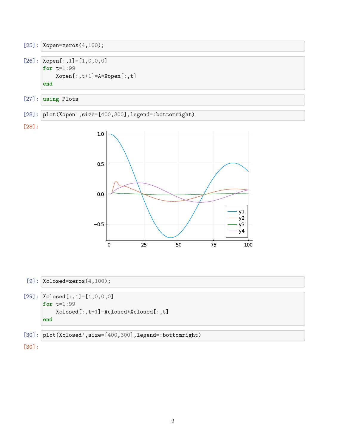$[25]$ :  $Xopen=zeros(4,100)$ ;

```
[26]: Xopen[:,1]=[1,0,0,0]for t=1:99
          Xopen[:,t+1]=A*Xopen[:,t]
      end
```
[27]: **using** Plots

[28]:  $plot(Xopen',size=[400,300]$ , legend=:bottomright)

[28]:



 $[9]$ :  $Xclosed = zeros(4,100)$ ;

 $[29]:$   $Xclosed[:, 1] = [1, 0, 0, 0]$ **for** t=1:99 Xclosed[:,t+1]=Aclosed\*Xclosed[:,t] **end**

[30]: plot(Xclosed',size=[400,300],legend=:bottomright)

[30]: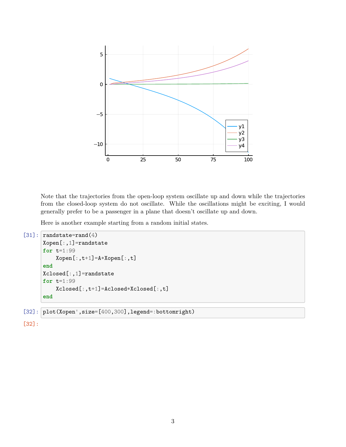

Note that the trajectories from the open-loop system oscillate up and down while the trajectories from the closed-loop system do not oscillate. While the oscillations might be exciting, I would generally prefer to be a passenger in a plane that doesn't oscillate up and down.

Here is another example starting from a random initial states.

```
[31]: randstate=rand(4)
      Xopen[:,1]=randstate
      for t=1:99
          Xopen[:,t+1]=A*Xopen[:,t]
      end
      Xclosed[:,1]=randstate
      for t=1:99
          Xclosed[:,t+1]=Aclosed*Xclosed[:,t]
      end
[32]: plot(Xopen',size=[400,300],legend=:bottomright)
```
[32]: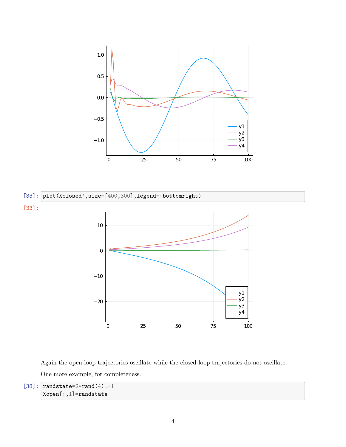



Again the open-loop trajectories oscillate while the closed-loop trajectories do not oscillate. One more example, for completeness.

```
[38]: \boxed{\text{randstate}=2*\text{rand}(4) - 1}Xopen[:,1]=randstate
```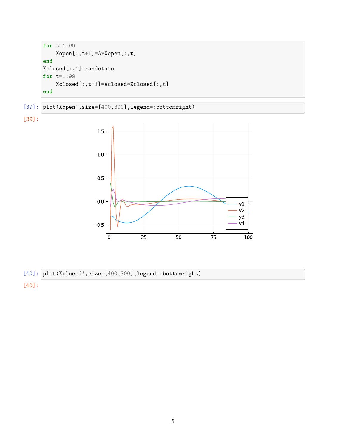```
for t=1:99
    Xopen[:,t+1]=A*Xopen[:,t]
end
Xclosed[:,1]=randstate
for t=1:99
    Xclosed[:,t+1]=Aclosed*Xclosed[:,t]
end
```
[39]: plot(Xopen',size=[400,300],legend=:bottomright)





## [40]:  $plot(Xclosed',size=[400,300],legend=:bottomright)$

[40]: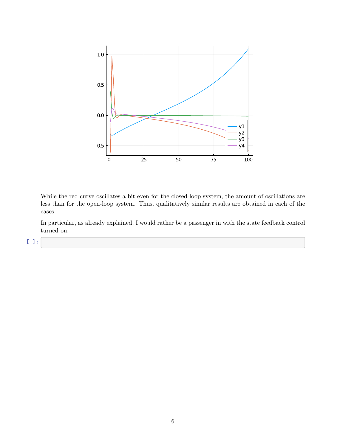

While the red curve oscillates a bit even for the closed-loop system, the amount of oscillations are less than for the open-loop system. Thus, qualitatively similar results are obtained in each of the cases.

In particular, as already explained, I would rather be a passenger in with the state feedback control turned on.

[ ]: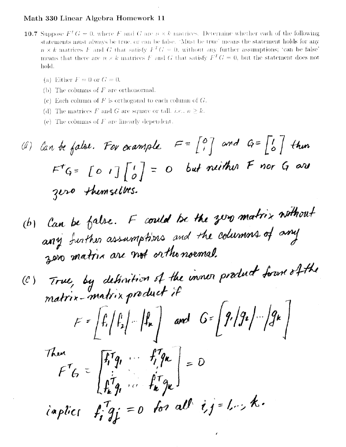- 10.7 Suppose  $F^T G = 0$ , where F and G are  $p \times k$  matrices. Determine whether each of the following statements must always be true, or can be false. 'Must be true' means the statement holds for any  $n \times k$  matrices F and G that satisfy  $F^{T}G = 0$ , without any further assumptions; 'can be false' means that there are  $n \times k$  matrices F and G that satisfy  $F^T G = 0$ , but the statement does not hold.
	- (a) Either  $F = 0$  or  $G = 0$ .
	- (b) The columns of  $F$  are orthonormal.
	- (c) Each column of  $F$  is orthogonal to each column of  $G$ .
	- (d) The matrices F and G are square or tall. *i.e.*,  $n \geq k$ .
	- (e) The columns of  $F$  are linearly dependent.

$$
\begin{array}{lll}\n\text{(d)} & \text{for the false.} & \text{For example.} & \mathcal{F} = \begin{bmatrix} 0 \\ 1 \end{bmatrix} \text{ and } \mathcal{G} = \begin{bmatrix} 1 \\ 0 \end{bmatrix} + \text{thus} \\
\mathcal{F}^{\dagger} G = \begin{bmatrix} 0 & 1 \end{bmatrix} \begin{bmatrix} 1 \\ 0 \end{bmatrix} = 0 \text{ but neither } F \text{ nor } G \text{ and } \\
\text{given, the results.}\n\end{array}
$$

معامد